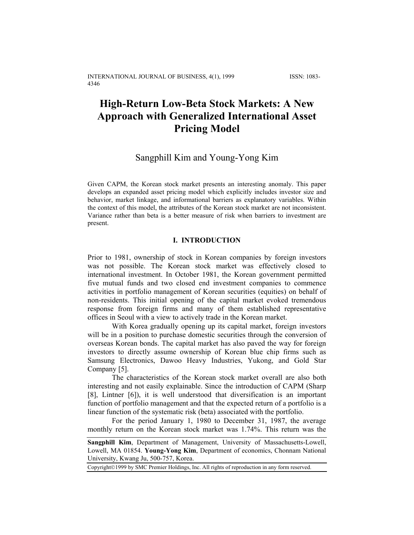# **High-Return Low-Beta Stock Markets: A New Approach with Generalized International Asset Pricing Model**

# Sangphill Kim and Young-Yong Kim

Given CAPM, the Korean stock market presents an interesting anomaly. This paper develops an expanded asset pricing model which explicitly includes investor size and behavior, market linkage, and informational barriers as explanatory variables. Within the context of this model, the attributes of the Korean stock market are not inconsistent. Variance rather than beta is a better measure of risk when barriers to investment are present.

# **I. INTRODUCTION**

Prior to 1981, ownership of stock in Korean companies by foreign investors was not possible. The Korean stock market was effectively closed to international investment. In October 1981, the Korean government permitted five mutual funds and two closed end investment companies to commence activities in portfolio management of Korean securities (equities) on behalf of non-residents. This initial opening of the capital market evoked tremendous response from foreign firms and many of them established representative offices in Seoul with a view to actively trade in the Korean market.

With Korea gradually opening up its capital market, foreign investors will be in a position to purchase domestic securities through the conversion of overseas Korean bonds. The capital market has also paved the way for foreign investors to directly assume ownership of Korean blue chip firms such as Samsung Electronics, Dawoo Heavy Industries, Yukong, and Gold Star Company [5].

The characteristics of the Korean stock market overall are also both interesting and not easily explainable. Since the introduction of CAPM (Sharp [8], Lintner [6]), it is well understood that diversification is an important function of portfolio management and that the expected return of a portfolio is a linear function of the systematic risk (beta) associated with the portfolio.

For the period January 1, 1980 to December 31, 1987, the average monthly return on the Korean stock market was 1.74%. This return was the

**Sangphill Kim**, Department of Management, University of Massachusetts-Lowell, Lowell, MA 01854. **Young-Yong Kim**, Department of economics, Chonnam National University, Kwang Ju, 500-757, Korea.

Copyright©1999 by SMC Premier Holdings, Inc. All rights of reproduction in any form reserved.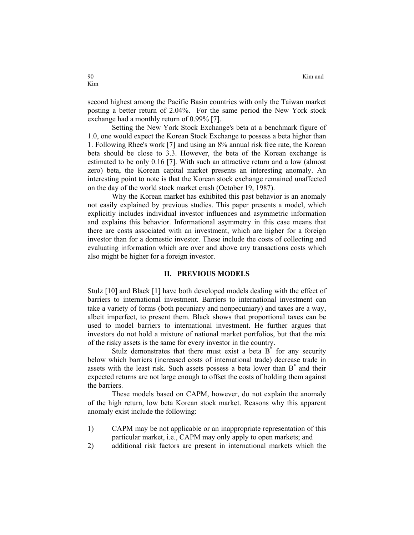second highest among the Pacific Basin countries with only the Taiwan market posting a better return of 2.04%. For the same period the New York stock exchange had a monthly return of 0.99% [7].

Setting the New York Stock Exchange's beta at a benchmark figure of 1.0, one would expect the Korean Stock Exchange to possess a beta higher than 1. Following Rhee's work [7] and using an 8% annual risk free rate, the Korean beta should be close to 3.3. However, the beta of the Korean exchange is estimated to be only 0.16 [7]. With such an attractive return and a low (almost zero) beta, the Korean capital market presents an interesting anomaly. An interesting point to note is that the Korean stock exchange remained unaffected on the day of the world stock market crash (October 19, 1987).

Why the Korean market has exhibited this past behavior is an anomaly not easily explained by previous studies. This paper presents a model, which explicitly includes individual investor influences and asymmetric information and explains this behavior. Informational asymmetry in this case means that there are costs associated with an investment, which are higher for a foreign investor than for a domestic investor. These include the costs of collecting and evaluating information which are over and above any transactions costs which also might be higher for a foreign investor.

### **II. PREVIOUS MODELS**

Stulz [10] and Black [1] have both developed models dealing with the effect of barriers to international investment. Barriers to international investment can take a variety of forms (both pecuniary and nonpecuniary) and taxes are a way, albeit imperfect, to present them. Black shows that proportional taxes can be used to model barriers to international investment. He further argues that investors do not hold a mixture of national market portfolios, but that the mix of the risky assets is the same for every investor in the country.

Stulz demonstrates that there must exist a beta  $B^*$  for any security below which barriers (increased costs of international trade) decrease trade in assets with the least risk. Such assets possess a beta lower than B\* and their expected returns are not large enough to offset the costs of holding them against the barriers.

These models based on CAPM, however, do not explain the anomaly of the high return, low beta Korean stock market. Reasons why this apparent anomaly exist include the following:

- 1) CAPM may be not applicable or an inappropriate representation of this particular market, i.e., CAPM may only apply to open markets; and
- 2) additional risk factors are present in international markets which the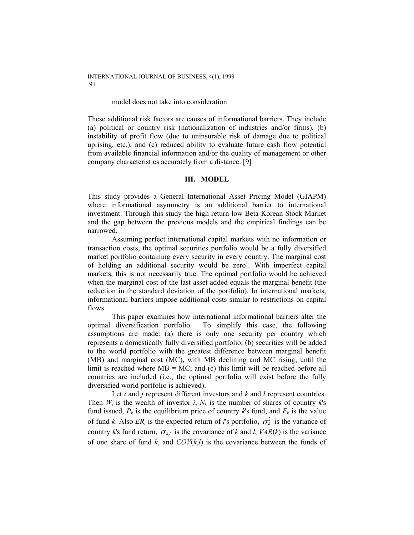INTERNATIONAL JOURNAL OF BUSINESS, 4(1), 1999 91

#### model does not take into consideration

These additional risk factors are causes of informational barriers. They include (a) political or country risk (nationalization of industries and/or firms), (b) instability of profit flow (due to uninsurable risk of damage due to political uprising, etc.), and (c) reduced ability to evaluate future cash flow potential from available financial information and/or the quality of management or other company characteristics accurately from a distance. [9]

# **III. MODEL**

This study provides a General International Asset Pricing Model (GIAPM) where informational asymmetry is an additional barrier to international investment. Through this study the high return low Beta Korean Stock Market and the gap between the previous models and the empirical findings can be narrowed.

Assuming perfect international capital markets with no information or transaction costs, the optimal securities portfolio would be a fully diversified market portfolio containing every security in every country. The marginal cost of holding an additional security would be zero<sup>1</sup>. With imperfect capital markets, this is not necessarily true. The optimal portfolio would be achieved when the marginal cost of the last asset added equals the marginal benefit (the reduction in the standard deviation of the portfolio). In international markets, informational barriers impose additional costs similar to restrictions on capital flows.

This paper examines how international informational barriers alter the optimal diversification portfolio. To simplify this case, the following assumptions are made: (a) there is only one security per country which represents a domestically fully diversified portfolio; (b) securities will be added to the world portfolio with the greatest difference between marginal benefit (MB) and marginal cost (MC), with MB declining and MC rising, until the limit is reached where  $MB = MC$ ; and (c) this limit will be reached before all countries are included (i.e., the optimal portfolio will exist before the fully diversified world portfolio is achieved).

Let *i* and *j* represent different investors and *k* and *l* represent countries. Then  $W_i$  is the wealth of investor  $i$ ,  $N_k$  is the number of shares of country  $k$ 's fund issued,  $P_k$  is the equilibrium price of country  $k$ 's fund, and  $F_k$  is the value of fund *k*. Also  $ER_i$  is the expected return of *i*'s portfolio,  $\sigma_k^2$  is the variance of country *k*'s fund return,  $\sigma_{kl}$  is the covariance of *k* and *l*, *VAR(k)* is the variance of one share of fund  $k$ , and  $COV(k,l)$  is the covariance between the funds of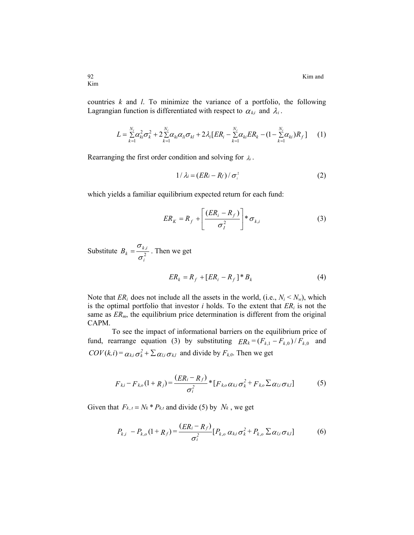countries *k* and *l*. To minimize the variance of a portfolio, the following Lagrangian function is differentiated with respect to  $\alpha_{k,i}$  and  $\lambda_i$ .

$$
L = \sum_{k=1}^{N_i} \alpha_{ki}^2 \sigma_k^2 + 2 \sum_{k=1}^{N_i} \alpha_{ki} \alpha_{li} \sigma_{kl} + 2 \lambda_i [ER_i - \sum_{k=1}^{N_i} \alpha_{ki} ER_k - (1 - \sum_{k=1}^{N_i} \alpha_{ki})R_f] \tag{1}
$$

Rearranging the first order condition and solving for  $\lambda$ .

$$
1/\lambda_i = (ER_i - R_f)/\sigma_i^2 \tag{2}
$$

which yields a familiar equilibrium expected return for each fund:

$$
ER_K = R_f + \left[\frac{(ER_i - R_f)}{\sigma_i^2}\right] * \sigma_{k,i}
$$
 (3)

Substitute  $B_k = \frac{O_{k}}{\pi^2}$ *i*  $B_k = \frac{\sigma_{k,i}}{\sigma_i^2}$  $=\frac{\sigma_{k,i}}{2}$ . Then we get

$$
ER_k = R_f + [ER_i - R_f]^*B_k \tag{4}
$$

Note that  $ER_i$  does not include all the assets in the world, (i.e.,  $N_i \le N_w$ ), which is the optimal portfolio that investor  $i$  holds. To the extent that  $ER_i$  is not the same as  $ER<sub>m</sub>$ , the equilibrium price determination is different from the original CAPM.

fund, rearrange equation (3) by substituting  $ER_k = (F_{k,1} - F_{k,0})/F_{k,0}$  and To see the impact of informational barriers on the equilibrium price of  $COV(k,i) = \alpha_{k,i}\sigma_k^2 + \sum_{\alpha_{l,i}} \sigma_{k,l}$  and divide by  $F_{k,0}$ . Then we get

$$
F_{ki} - F_{ko}(1 + R_j) = \frac{(ER_i - R_f)}{\sigma_i^2} * [F_{ko} \alpha_{ki} \sigma_k^2 + F_{ko} \Sigma \alpha_{li} \sigma_{kl}]
$$
 (5)

Given that  $F_{k,t} = N_k * P_{k,t}$  and divide (5) by  $N_k$ , we get

$$
P_{k,i} - P_{k,o}(1+R_f) = \frac{(ER_i - R_f)}{\sigma_i^2} [P_{k,o} \alpha_{k,i} \sigma_k^2 + P_{k,o} \Sigma \alpha_{l,i} \sigma_{k,l}]
$$
 (6)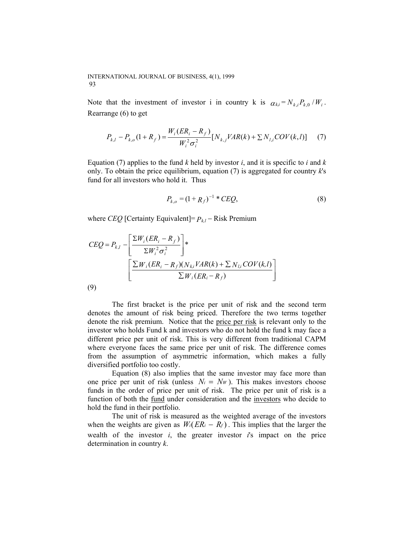#### INTERNATIONAL JOURNAL OF BUSINESS, 4(1), 1999 93

Note that the investment of investor i in country k is  $\alpha_{ki} = N_{k,i} P_{k,0} / W_i$ . Rearrange (6) to get

$$
P_{k,l} - P_{k,o}(1 + R_f) = \frac{W_i(ER_i - R_f)}{W_i^2 \sigma_i^2} [N_{k,j}VAR(k) + \sum N_{l,i} COV(k,l)] \tag{7}
$$

Equation (7) applies to the fund  $k$  held by investor  $i$ , and it is specific to  $i$  and  $k$ only. To obtain the price equilibrium, equation (7) is aggregated for country *k*'s fund for all investors who hold it. Thus

$$
P_{k,o} = (1 + R_f)^{-1} * C E Q, \tag{8}
$$

where *CEQ* [Certainty Equivalent]=  $P_{k,l}$  − Risk Premium

$$
CEQ = P_{k,l} - \left[ \frac{\sum W_i (ER_i - R_f)}{\sum W_i^2 \sigma_i^2} \right] * \left[ \frac{\sum W_i (ER_i - R_f)(N_{ki}VAR(k) + \sum N_{li} COV(k, l))}{\sum W_i (ER_i - R_f)} \right]
$$

|   | ×<br>۰.<br>۰,<br>٧ |  |
|---|--------------------|--|
| × |                    |  |

The first bracket is the price per unit of risk and the second term denotes the amount of risk being priced. Therefore the two terms together denote the risk premium. Notice that the price per risk is relevant only to the investor who holds Fund k and investors who do not hold the fund k may face a different price per unit of risk. This is very different from traditional CAPM where everyone faces the same price per unit of risk. The difference comes from the assumption of asymmetric information, which makes a fully diversified portfolio too costly.

Equation (8) also implies that the same investor may face more than one price per unit of risk (unless  $N_i = N_w$ ). This makes investors choose funds in the order of price per unit of risk. The price per unit of risk is a function of both the fund under consideration and the investors who decide to hold the fund in their portfolio.

The unit of risk is measured as the weighted average of the investors when the weights are given as  $W_i(ER_i - R_f)$ . This implies that the larger the wealth of the investor *i*, the greater investor *i*'s impact on the price determination in country *k*.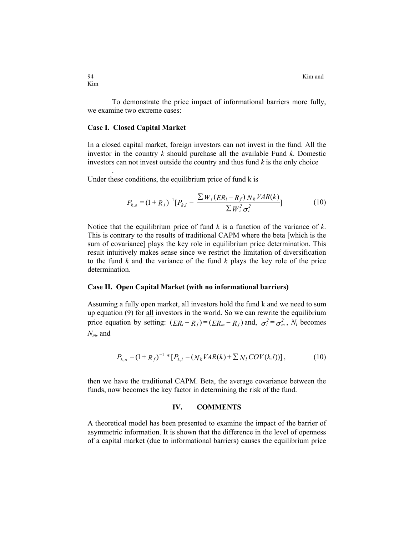94 Kim and **K** 

To demonstrate the price impact of informational barriers more fully, we examine two extreme cases:

# **Case I. Closed Capital Market**

.

In a closed capital market, foreign investors can not invest in the fund. All the investor in the country *k* should purchase all the available Fund *k*. Domestic investors can not invest outside the country and thus fund *k* is the only choice

Under these conditions, the equilibrium price of fund k is

$$
P_{k,o} = (1 + R_f)^{-1} [P_{k,l} - \frac{\sum W_i (ER_i - R_f) N_k VAR(k)}{\sum W_i^2 \sigma_i^2}]
$$
 (10)

Notice that the equilibrium price of fund *k* is a function of the variance of *k*. This is contrary to the results of traditional CAPM where the beta [which is the sum of covariance] plays the key role in equilibrium price determination. This result intuitively makes sense since we restrict the limitation of diversification to the fund *k* and the variance of the fund *k* plays the key role of the price determination.

# **Case II. Open Capital Market (with no informational barriers)**

Assuming a fully open market, all investors hold the fund k and we need to sum up equation  $(9)$  for  $all$  investors in the world. So we can rewrite the equilibrium price equation by setting:  $(ER_i - R_f) = (ER_m - R_f)$  and,  $\sigma_i^2 = \sigma_m^2$ ,  $N_i$  becomes *Nm*, and

$$
P_{k,o} = (1 + R_f)^{-1} * [P_{k,l} - (N_k VAR(k) + \sum N_l COV(k,l))], \qquad (10)
$$

then we have the traditional CAPM. Beta, the average covariance between the funds, now becomes the key factor in determining the risk of the fund.

### **IV. COMMENTS**

A theoretical model has been presented to examine the impact of the barrier of asymmetric information. It is shown that the difference in the level of openness of a capital market (due to informational barriers) causes the equilibrium price

Kim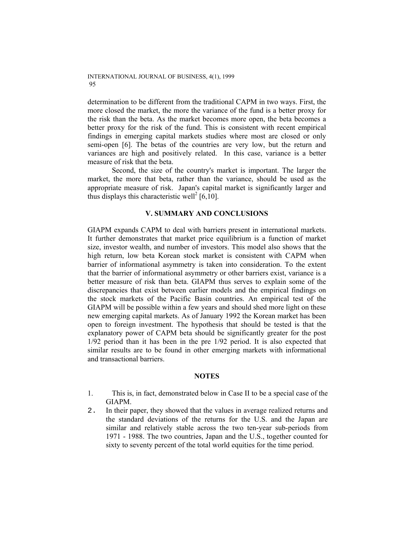determination to be different from the traditional CAPM in two ways. First, the more closed the market, the more the variance of the fund is a better proxy for the risk than the beta. As the market becomes more open, the beta becomes a better proxy for the risk of the fund. This is consistent with recent empirical findings in emerging capital markets studies where most are closed or only semi-open [6]. The betas of the countries are very low, but the return and variances are high and positively related. In this case, variance is a better measure of risk that the beta.

Second, the size of the country's market is important. The larger the market, the more that beta, rather than the variance, should be used as the appropriate measure of risk. Japan's capital market is significantly larger and thus displays this characteristic well<sup>2</sup> [6,10].

# **V. SUMMARY AND CONCLUSIONS**

GIAPM expands CAPM to deal with barriers present in international markets. It further demonstrates that market price equilibrium is a function of market size, investor wealth, and number of investors. This model also shows that the high return, low beta Korean stock market is consistent with CAPM when barrier of informational asymmetry is taken into consideration. To the extent that the barrier of informational asymmetry or other barriers exist, variance is a better measure of risk than beta. GIAPM thus serves to explain some of the discrepancies that exist between earlier models and the empirical findings on the stock markets of the Pacific Basin countries. An empirical test of the GIAPM will be possible within a few years and should shed more light on these new emerging capital markets. As of January 1992 the Korean market has been open to foreign investment. The hypothesis that should be tested is that the explanatory power of CAPM beta should be significantly greater for the post 1/92 period than it has been in the pre 1/92 period. It is also expected that similar results are to be found in other emerging markets with informational and transactional barriers.

# **NOTES**

- 1. This is, in fact, demonstrated below in Case II to be a special case of the GIAPM.
- 2. In their paper, they showed that the values in average realized returns and the standard deviations of the returns for the U.S. and the Japan are similar and relatively stable across the two ten-year sub-periods from 1971 - 1988. The two countries, Japan and the U.S., together counted for sixty to seventy percent of the total world equities for the time period.